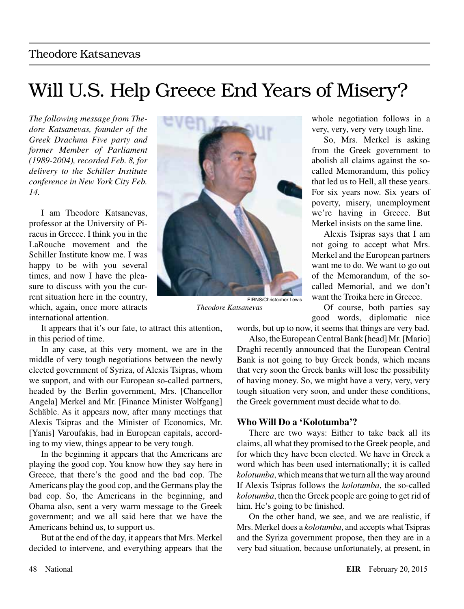## Will U.S. Help Greece End Years of Misery?

*The following message from Thedore Katsanevas, founder of the Greek Drachma Five party and former Member of Parliament (1989-2004), recorded Feb. 8, for delivery to the Schiller Institute conference in New York City Feb. 14.*

I am Theodore Katsanevas, professor at the University of Piraeus in Greece. I think you in the LaRouche movement and the Schiller Institute know me. I was happy to be with you several times, and now I have the pleasure to discuss with you the current situation here in the country, which, again, once more attracts international attention.



EIRNS/Christopher Lewis *Theodore Katsanevas*

whole negotiation follows in a very, very, very very tough line.

So, Mrs. Merkel is asking from the Greek government to abolish all claims against the socalled Memorandum, this policy that led us to Hell, all these years. For six years now. Six years of poverty, misery, unemployment we're having in Greece. But Merkel insists on the same line.

Alexis Tsipras says that I am not going to accept what Mrs. Merkel and the European partners want me to do. We want to go out of the Memorandum, of the socalled Memorial, and we don't want the Troika here in Greece.

Of course, both parties say good words, diplomatic nice

It appears that it's our fate, to attract this attention, in this period of time.

In any case, at this very moment, we are in the middle of very tough negotiations between the newly elected government of Syriza, of Alexis Tsipras, whom we support, and with our European so-called partners, headed by the Berlin government, Mrs. [Chancellor Angela] Merkel and Mr. [Finance Minister Wolfgang] Schäble. As it appears now, after many meetings that Alexis Tsipras and the Minister of Economics, Mr. [Yanis] Varoufakis, had in European capitals, according to my view, things appear to be very tough.

In the beginning it appears that the Americans are playing the good cop. You know how they say here in Greece, that there's the good and the bad cop. The Americans play the good cop, and the Germans play the bad cop. So, the Americans in the beginning, and Obama also, sent a very warm message to the Greek government; and we all said here that we have the Americans behind us, to support us.

But at the end of the day, it appears that Mrs. Merkel decided to intervene, and everything appears that the

words, but up to now, it seems that things are very bad.

Also, the European Central Bank [head] Mr. [Mario] Draghi recently announced that the European Central Bank is not going to buy Greek bonds, which means that very soon the Greek banks will lose the possibility of having money. So, we might have a very, very, very tough situation very soon, and under these conditions, the Greek government must decide what to do.

## **Who Will Do a 'Kolotumba'?**

There are two ways: Either to take back all its claims, all what they promised to the Greek people, and for which they have been elected. We have in Greek a word which has been used internationally; it is called *kolotumba*, which means that we turn all the way around If Alexis Tsipras follows the *kolotumba*, the so-called *kolotumba*, then the Greek people are going to get rid of him. He's going to be finished.

On the other hand, we see, and we are realistic, if Mrs. Merkel does a *kolotumba*, and accepts what Tsipras and the Syriza government propose, then they are in a very bad situation, because unfortunately, at present, in